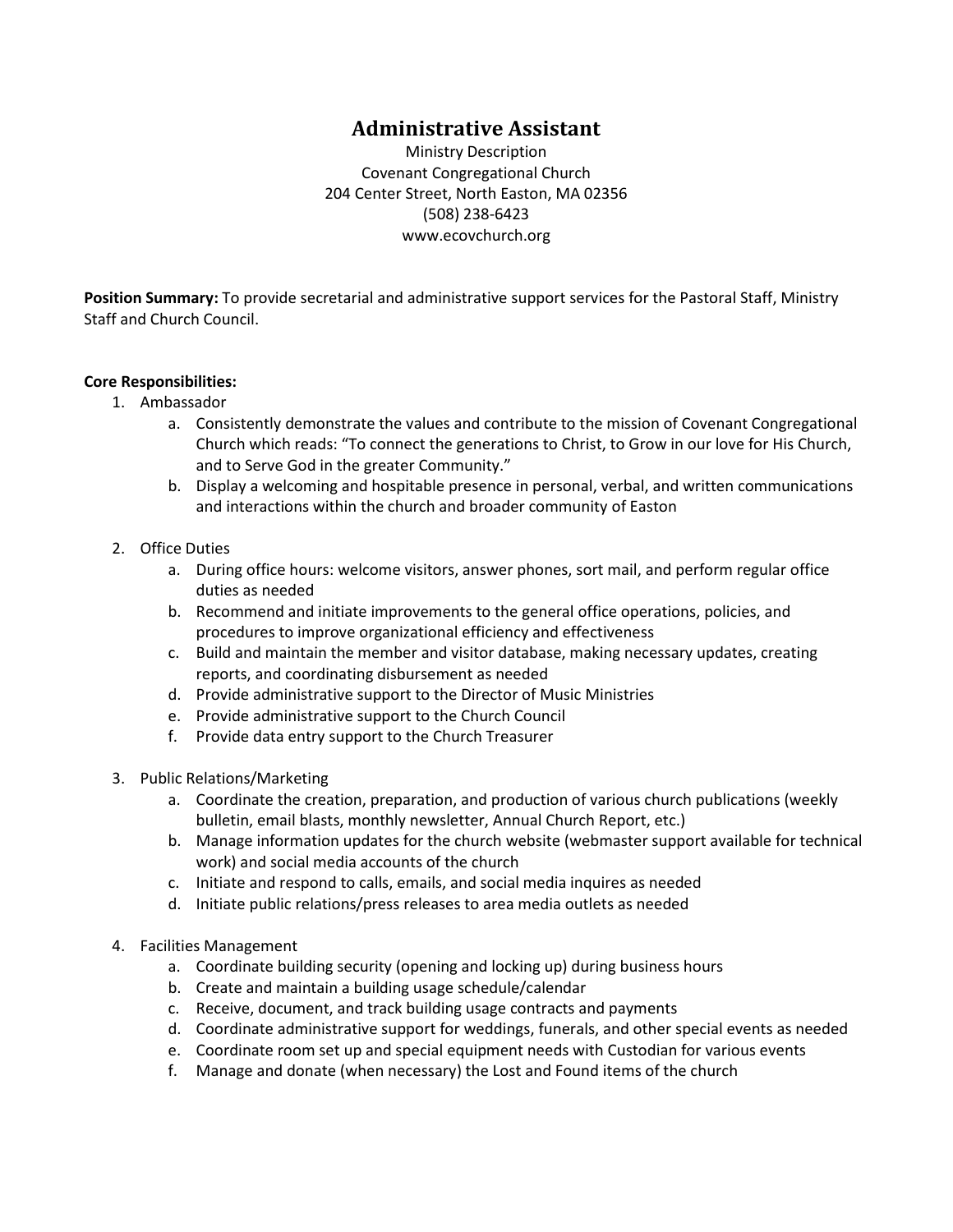# **Administrative Assistant**

Ministry Description Covenant Congregational Church 204 Center Street, North Easton, MA 02356 (508) 238-6423 www.ecovchurch.org

**Position Summary:** To provide secretarial and administrative support services for the Pastoral Staff, Ministry Staff and Church Council.

### **Core Responsibilities:**

- 1. Ambassador
	- a. Consistently demonstrate the values and contribute to the mission of Covenant Congregational Church which reads: "To connect the generations to Christ, to Grow in our love for His Church, and to Serve God in the greater Community."
	- b. Display a welcoming and hospitable presence in personal, verbal, and written communications and interactions within the church and broader community of Easton
- 2. Office Duties
	- a. During office hours: welcome visitors, answer phones, sort mail, and perform regular office duties as needed
	- b. Recommend and initiate improvements to the general office operations, policies, and procedures to improve organizational efficiency and effectiveness
	- c. Build and maintain the member and visitor database, making necessary updates, creating reports, and coordinating disbursement as needed
	- d. Provide administrative support to the Director of Music Ministries
	- e. Provide administrative support to the Church Council
	- f. Provide data entry support to the Church Treasurer
- 3. Public Relations/Marketing
	- a. Coordinate the creation, preparation, and production of various church publications (weekly bulletin, email blasts, monthly newsletter, Annual Church Report, etc.)
	- b. Manage information updates for the church website (webmaster support available for technical work) and social media accounts of the church
	- c. Initiate and respond to calls, emails, and social media inquires as needed
	- d. Initiate public relations/press releases to area media outlets as needed
- 4. Facilities Management
	- a. Coordinate building security (opening and locking up) during business hours
	- b. Create and maintain a building usage schedule/calendar
	- c. Receive, document, and track building usage contracts and payments
	- d. Coordinate administrative support for weddings, funerals, and other special events as needed
	- e. Coordinate room set up and special equipment needs with Custodian for various events
	- f. Manage and donate (when necessary) the Lost and Found items of the church